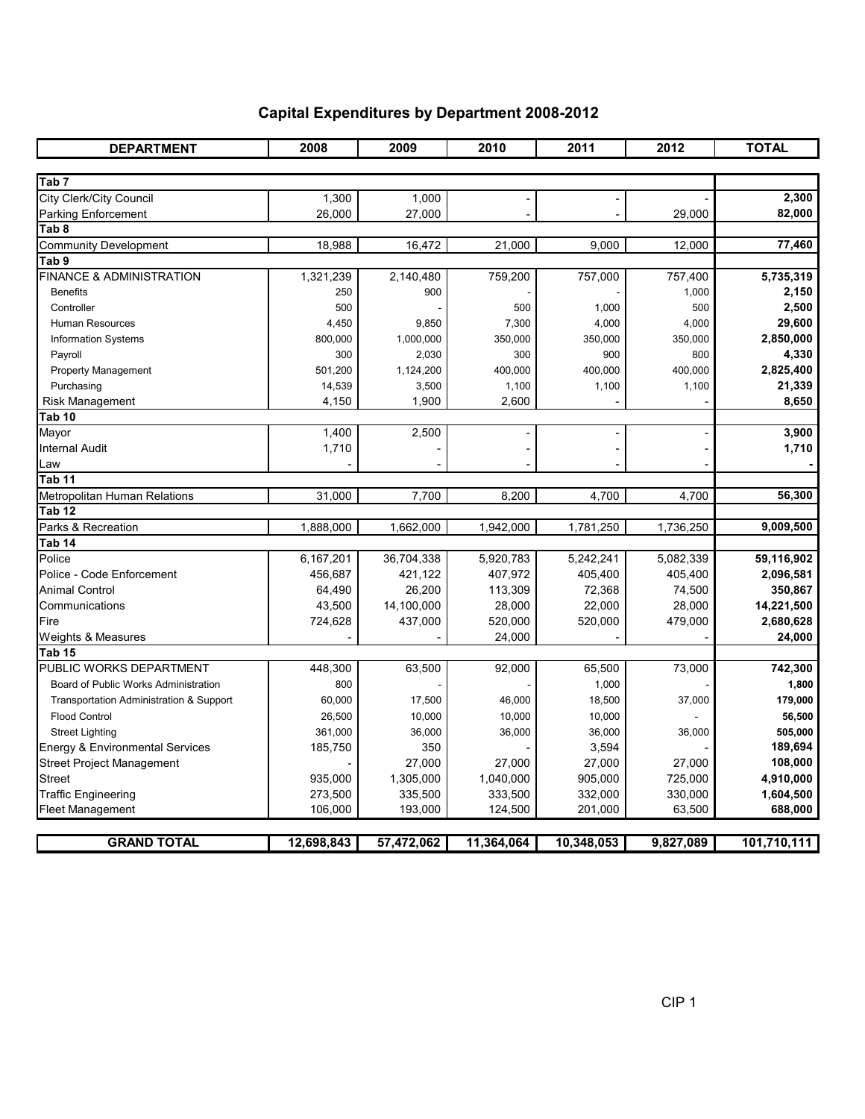## Capital Expenditures by Department 2008-2012

| <b>DEPARTMENT</b>                       | 2008       | 2009       | 2010       | 2011       | 2012      | <b>TOTAL</b> |
|-----------------------------------------|------------|------------|------------|------------|-----------|--------------|
|                                         |            |            |            |            |           |              |
| Tab <sub>7</sub>                        |            |            |            |            |           |              |
| City Clerk/City Council                 | 1,300      | 1,000      |            |            |           | 2,300        |
| Parking Enforcement                     | 26,000     | 27,000     |            |            | 29,000    | 82,000       |
| Tab 8                                   |            |            |            |            |           |              |
| <b>Community Development</b>            | 18,988     | 16,472     | 21,000     | 9,000      | 12,000    | 77,460       |
| Tab 9                                   |            |            |            |            |           |              |
| <b>FINANCE &amp; ADMINISTRATION</b>     | 1,321,239  | 2,140,480  | 759,200    | 757,000    | 757,400   | 5,735,319    |
| <b>Benefits</b>                         | 250        | 900        |            |            | 1,000     | 2,150        |
| Controller                              | 500        |            | 500        | 1,000      | 500       | 2,500        |
| Human Resources                         | 4,450      | 9,850      | 7,300      | 4,000      | 4,000     | 29,600       |
| <b>Information Systems</b>              | 800,000    | 1,000,000  | 350,000    | 350,000    | 350,000   | 2,850,000    |
| Payroll                                 | 300        | 2,030      | 300        | 900        | 800       | 4,330        |
| <b>Property Management</b>              | 501,200    | 1,124,200  | 400,000    | 400,000    | 400,000   | 2,825,400    |
| Purchasing                              | 14,539     | 3,500      | 1,100      | 1,100      | 1,100     | 21,339       |
| <b>Risk Management</b>                  | 4,150      | 1,900      | 2,600      |            |           | 8,650        |
| Tab 10                                  |            |            |            |            |           |              |
| Mayor                                   | 1,400      | 2,500      |            |            |           | 3,900        |
| <b>Internal Audit</b>                   | 1,710      |            |            |            |           | 1,710        |
| Law                                     |            |            |            |            |           |              |
| Tab 11                                  |            |            |            |            |           |              |
| Metropolitan Human Relations            | 31,000     | 7,700      | 8,200      | 4,700      | 4,700     | 56,300       |
| Tab 12                                  |            |            |            |            |           |              |
| Parks & Recreation                      | 1,888,000  | 1,662,000  | 1,942,000  | 1,781,250  | 1,736,250 | 9,009,500    |
| Tab 14                                  |            |            |            |            |           |              |
| Police                                  | 6,167,201  | 36,704,338 | 5,920,783  | 5,242,241  | 5,082,339 | 59,116,902   |
| Police - Code Enforcement               | 456,687    | 421,122    | 407,972    | 405,400    | 405,400   | 2,096,581    |
| Animal Control                          | 64,490     | 26,200     | 113,309    | 72,368     | 74,500    | 350,867      |
| Communications                          | 43,500     | 14,100,000 | 28,000     | 22,000     | 28,000    | 14,221,500   |
| Fire                                    | 724,628    | 437,000    | 520,000    | 520,000    | 479,000   | 2,680,628    |
| Weights & Measures                      |            |            | 24,000     |            |           | 24,000       |
| Tab <sub>15</sub>                       |            |            |            |            |           |              |
| PUBLIC WORKS DEPARTMENT                 | 448,300    | 63,500     | 92,000     | 65,500     | 73,000    | 742,300      |
| Board of Public Works Administration    | 800        |            |            | 1,000      |           | 1,800        |
| Transportation Administration & Support | 60,000     | 17,500     | 46,000     | 18,500     | 37,000    | 179,000      |
| <b>Flood Control</b>                    | 26,500     | 10,000     | 10,000     | 10,000     |           | 56,500       |
| <b>Street Lighting</b>                  | 361,000    | 36,000     | 36,000     | 36,000     | 36,000    | 505,000      |
| Energy & Environmental Services         | 185,750    | 350        |            | 3,594      |           | 189,694      |
| Street Project Management               |            | 27,000     | 27,000     | 27,000     | 27,000    | 108,000      |
| Street                                  | 935,000    | 1,305,000  | 1,040,000  | 905,000    | 725,000   | 4,910,000    |
| <b>Traffic Engineering</b>              | 273,500    | 335,500    | 333,500    | 332,000    | 330,000   | 1,604,500    |
| <b>Fleet Management</b>                 | 106,000    | 193,000    | 124,500    | 201,000    | 63,500    | 688,000      |
|                                         |            |            |            |            |           |              |
| <b>GRAND TOTAL</b>                      | 12,698,843 | 57,472,062 | 11,364,064 | 10,348,053 | 9,827,089 | 101,710,111  |